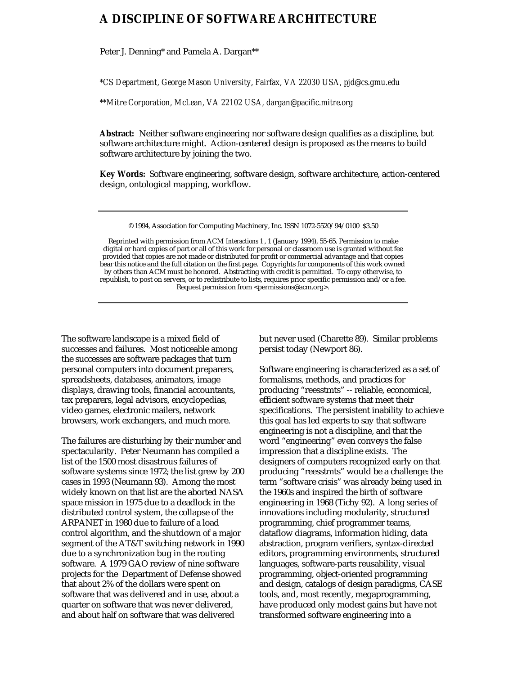## **A DISCIPLINE OF SOFTWARE ARCHITECTURE**

Peter J. Denning\* and Pamela A. Dargan\*\*

*\*CS Department, George Mason University, Fairfax, VA 22030 USA, pjd@cs.gmu.edu*

*\*\*Mitre Corporation, McLean, VA 22102 USA, dargan@pacific.mitre.org*

**Abstract:** Neither software engineering nor software design qualifies as a discipline, but software architecture might. Action-centered design is proposed as the means to build software architecture by joining the two.

**Key Words:** Software engineering, software design, software architecture, action-centered design, ontological mapping, workflow.

© 1994, Association for Computing Machinery, Inc. ISSN 1072-5520/94/0100 \$3.50

Reprinted with permission from ACM *Interactions 1* , 1 (January 1994), 55-65. Permission to make digital or hard copies of part or all of this work for personal or classroom use is granted without fee provided that copies are not made or distributed for profit or commercial advantage and that copies bear this notice and the full citation on the first page. Copyrights for components of this work owned by others than ACM must be honored. Abstracting with credit is permitted. To copy otherwise, to republish, to post on servers, or to redistribute to lists, requires prior specific permission and/or a fee. Request permission from <permissions@acm.org>.

The software landscape is a mixed field of successes and failures. Most noticeable among the successes are software packages that turn personal computers into document preparers, spreadsheets, databases, animators, image displays, drawing tools, financial accountants, tax preparers, legal advisors, encyclopedias, video games, electronic mailers, network browsers, work exchangers, and much more.

The failures are disturbing by their number and spectacularity. Peter Neumann has compiled a list of the 1500 most disastrous failures of software systems since 1972; the list grew by 200 cases in 1993 (Neumann 93). Among the most widely known on that list are the aborted NASA space mission in 1975 due to a deadlock in the distributed control system, the collapse of the ARPANET in 1980 due to failure of a load control algorithm, and the shutdown of a major segment of the AT&T switching network in 1990 due to a synchronization bug in the routing software. A 1979 GAO review of nine software projects for the Department of Defense showed that about 2% of the dollars were spent on software that was delivered and in use, about a quarter on software that was never delivered, and about half on software that was delivered

but never used (Charette 89). Similar problems persist today (Newport 86).

Software engineering is characterized as a set of formalisms, methods, and practices for producing "reesstmts" -- reliable, economical, efficient software systems that meet their specifications. The persistent inability to achieve this goal has led experts to say that software engineering is not a discipline, and that the word "engineering" even conveys the false impression that a discipline exists. The designers of computers recognized early on that producing "reesstmts" would be a challenge: the term "software crisis" was already being used in the 1960s and inspired the birth of software engineering in 1968 (Tichy 92). A long series of innovations including modularity, structured programming, chief programmer teams, dataflow diagrams, information hiding, data abstraction, program verifiers, syntax-directed editors, programming environments, structured languages, software-parts reusability, visual programming, object-oriented programming and design, catalogs of design paradigms, CASE tools, and, most recently, megaprogramming, have produced only modest gains but have not transformed software engineering into a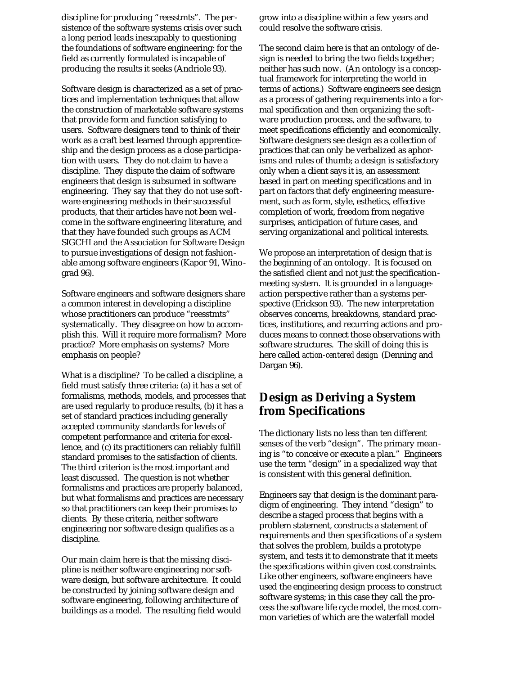discipline for producing "reesstmts". The persistence of the software systems crisis over such a long period leads inescapably to questioning the foundations of software engineering: for the field as currently formulated is incapable of producing the results it seeks (Andriole 93).

Software design is characterized as a set of practices and implementation techniques that allow the construction of marketable software systems that provide form and function satisfying to users. Software designers tend to think of their work as a craft best learned through apprenticeship and the design process as a close participation with users. They do not claim to have a discipline. They dispute the claim of software engineers that design is subsumed in software engineering. They say that they do not use software engineering methods in their successful products, that their articles have not been welcome in the software engineering literature, and that they have founded such groups as ACM SIGCHI and the Association for Software Design to pursue investigations of design not fashionable among software engineers (Kapor 91, Winograd 96).

Software engineers and software designers share a common interest in developing a discipline whose practitioners can produce "reesstmts" systematically. They disagree on how to accomplish this. Will it require more formalism? More practice? More emphasis on systems? More emphasis on people?

What is a discipline? To be called a discipline, a field must satisfy three criteria: (a) it has a set of formalisms, methods, models, and processes that are used regularly to produce results, (b) it has a set of standard practices including generally accepted community standards for levels of competent performance and criteria for excellence, and (c) its practitioners can reliably fulfill standard promises to the satisfaction of clients. The third criterion is the most important and least discussed. The question is not whether formalisms and practices are properly balanced, but what formalisms and practices are necessary so that practitioners can keep their promises to clients. By these criteria, neither software engineering nor software design qualifies as a discipline.

Our main claim here is that the missing discipline is neither software engineering nor software design, but software architecture. It could be constructed by joining software design and software engineering, following architecture of buildings as a model. The resulting field would grow into a discipline within a few years and could resolve the software crisis.

The second claim here is that an ontology of design is needed to bring the two fields together; neither has such now. (An ontology is a conceptual framework for interpreting the world in terms of actions.) Software engineers see design as a process of gathering requirements into a formal specification and then organizing the software production process, and the software, to meet specifications efficiently and economically. Software designers see design as a collection of practices that can only be verbalized as aphorisms and rules of thumb; a design is satisfactory only when a client says it is, an assessment based in part on meeting specifications and in part on factors that defy engineering measurement, such as form, style, esthetics, effective completion of work, freedom from negative surprises, anticipation of future cases, and serving organizational and political interests.

We propose an interpretation of design that is the beginning of an ontology. It is focused on the satisfied client and not just the specificationmeeting system. It is grounded in a languageaction perspective rather than a systems perspective (Erickson 93). The new interpretation observes concerns, breakdowns, standard practices, institutions, and recurring actions and produces means to connect those observations with software structures. The skill of doing this is here called *action-centered design* (Denning and Dargan 96).

## **Design as Deriving a System from Specifications**

The dictionary lists no less than ten different senses of the verb "design". The primary meaning is "to conceive or execute a plan." Engineers use the term "design" in a specialized way that is consistent with this general definition.

Engineers say that design is the dominant paradigm of engineering. They intend "design" to describe a staged process that begins with a problem statement, constructs a statement of requirements and then specifications of a system that solves the problem, builds a prototype system, and tests it to demonstrate that it meets the specifications within given cost constraints. Like other engineers, software engineers have used the engineering design process to construct software systems; in this case they call the process the software life cycle model, the most common varieties of which are the waterfall model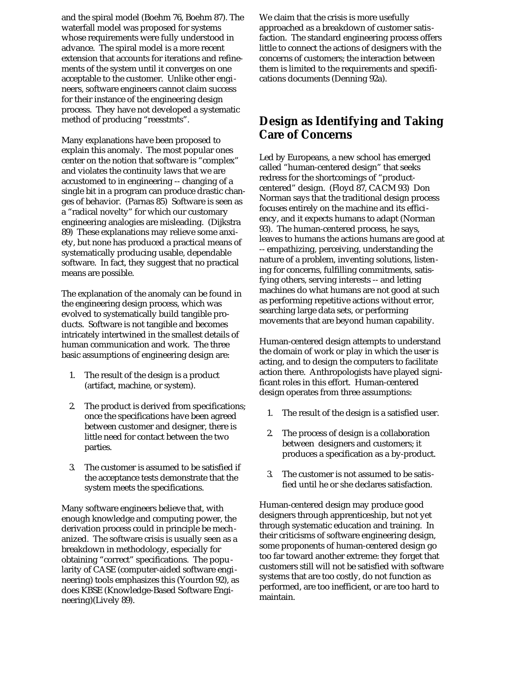and the spiral model (Boehm 76, Boehm 87). The waterfall model was proposed for systems whose requirements were fully understood in advance. The spiral model is a more recent extension that accounts for iterations and refinements of the system until it converges on one acceptable to the customer. Unlike other engineers, software engineers cannot claim success for their instance of the engineering design process. They have not developed a systematic method of producing "reesstmts".

Many explanations have been proposed to explain this anomaly. The most popular ones center on the notion that software is "complex" and violates the continuity laws that we are accustomed to in engineering -- changing of a single bit in a program can produce drastic changes of behavior. (Parnas 85) Software is seen as a "radical novelty" for which our customary engineering analogies are misleading. (Dijkstra 89) These explanations may relieve some anxiety, but none has produced a practical means of systematically producing usable, dependable software. In fact, they suggest that no practical means are possible.

The explanation of the anomaly can be found in the engineering design process, which was evolved to systematically build tangible products. Software is not tangible and becomes intricately intertwined in the smallest details of human communication and work. The three basic assumptions of engineering design are:

- 1. The result of the design is a product (artifact, machine, or system).
- 2. The product is derived from specifications; once the specifications have been agreed between customer and designer, there is little need for contact between the two parties.
- 3. The customer is assumed to be satisfied if the acceptance tests demonstrate that the system meets the specifications.

Many software engineers believe that, with enough knowledge and computing power, the derivation process could in principle be mechanized. The software crisis is usually seen as a breakdown in methodology, especially for obtaining "correct" specifications. The popularity of CASE (computer-aided software engineering) tools emphasizes this (Yourdon 92), as does KBSE (Knowledge-Based Software Engineering)(Lively 89).

We claim that the crisis is more usefully approached as a breakdown of customer satisfaction. The standard engineering process offers little to connect the actions of designers with the concerns of customers; the interaction between them is limited to the requirements and specifications documents (Denning 92a).

## **Design as Identifying and Taking Care of Concerns**

Led by Europeans, a new school has emerged called "human-centered design" that seeks redress for the shortcomings of "productcentered" design. (Floyd 87, CACM 93) Don Norman says that the traditional design process focuses entirely on the machine and its efficiency, and it expects humans to adapt (Norman 93). The human-centered process, he says, leaves to humans the actions humans are good at -- empathizing, perceiving, understanding the nature of a problem, inventing solutions, listening for concerns, fulfilling commitments, satisfying others, serving interests -- and letting machines do what humans are not good at such as performing repetitive actions without error, searching large data sets, or performing movements that are beyond human capability.

Human-centered design attempts to understand the domain of work or play in which the user is acting, and to design the computers to facilitate action there. Anthropologists have played significant roles in this effort. Human-centered design operates from three assumptions:

- 1. The result of the design is a satisfied user.
- 2. The process of design is a collaboration between designers and customers; it produces a specification as a by-product.
- 3. The customer is not assumed to be satisfied until he or she declares satisfaction.

Human-centered design may produce good designers through apprenticeship, but not yet through systematic education and training. In their criticisms of software engineering design, some proponents of human-centered design go too far toward another extreme: they forget that customers still will not be satisfied with software systems that are too costly, do not function as performed, are too inefficient, or are too hard to maintain.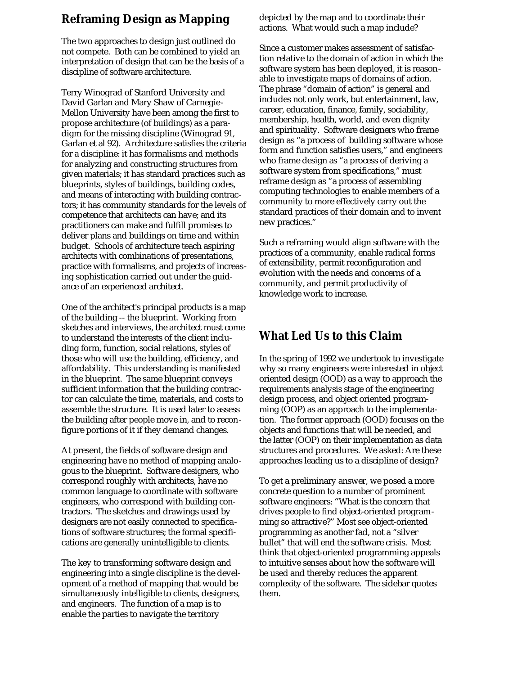## **Reframing Design as Mapping**

The two approaches to design just outlined do not compete. Both can be combined to yield an interpretation of design that can be the basis of a discipline of software architecture.

Terry Winograd of Stanford University and David Garlan and Mary Shaw of Carnegie-Mellon University have been among the first to propose architecture (of buildings) as a paradigm for the missing discipline (Winograd 91, Garlan et al 92). Architecture satisfies the criteria for a discipline: it has formalisms and methods for analyzing and constructing structures from given materials; it has standard practices such as blueprints, styles of buildings, building codes, and means of interacting with building contractors; it has community standards for the levels of competence that architects can have; and its practitioners can make and fulfill promises to deliver plans and buildings on time and within budget. Schools of architecture teach aspiring architects with combinations of presentations, practice with formalisms, and projects of increasing sophistication carried out under the guidance of an experienced architect.

One of the architect's principal products is a map of the building -- the blueprint. Working from sketches and interviews, the architect must come to understand the interests of the client including form, function, social relations, styles of those who will use the building, efficiency, and affordability. This understanding is manifested in the blueprint. The same blueprint conveys sufficient information that the building contractor can calculate the time, materials, and costs to assemble the structure. It is used later to assess the building after people move in, and to reconfigure portions of it if they demand changes.

At present, the fields of software design and engineering have no method of mapping analogous to the blueprint. Software designers, who correspond roughly with architects, have no common language to coordinate with software engineers, who correspond with building contractors. The sketches and drawings used by designers are not easily connected to specifications of software structures; the formal specifications are generally unintelligible to clients.

The key to transforming software design and engineering into a single discipline is the development of a method of mapping that would be simultaneously intelligible to clients, designers, and engineers. The function of a map is to enable the parties to navigate the territory

depicted by the map and to coordinate their actions. What would such a map include?

Since a customer makes assessment of satisfaction relative to the domain of action in which the software system has been deployed, it is reasonable to investigate maps of domains of action. The phrase "domain of action" is general and includes not only work, but entertainment, law, career, education, finance, family, sociability, membership, health, world, and even dignity and spirituality. Software designers who frame design as "a process of building software whose form and function satisfies users," and engineers who frame design as "a process of deriving a software system from specifications," must reframe design as "a process of assembling computing technologies to enable members of a community to more effectively carry out the standard practices of their domain and to invent new practices."

Such a reframing would align software with the practices of a community, enable radical forms of extensibility, permit reconfiguration and evolution with the needs and concerns of a community, and permit productivity of knowledge work to increase.

## **What Led Us to this Claim**

In the spring of 1992 we undertook to investigate why so many engineers were interested in object oriented design (OOD) as a way to approach the requirements analysis stage of the engineering design process, and object oriented programming (OOP) as an approach to the implementation. The former approach (OOD) focuses on the objects and functions that will be needed, and the latter (OOP) on their implementation as data structures and procedures. We asked: Are these approaches leading us to a discipline of design?

To get a preliminary answer, we posed a more concrete question to a number of prominent software engineers: "What is the concern that drives people to find object-oriented programming so attractive?" Most see object-oriented programming as another fad, not a "silver bullet" that will end the software crisis. Most think that object-oriented programming appeals to intuitive senses about how the software will be used and thereby reduces the apparent complexity of the software. The sidebar quotes them.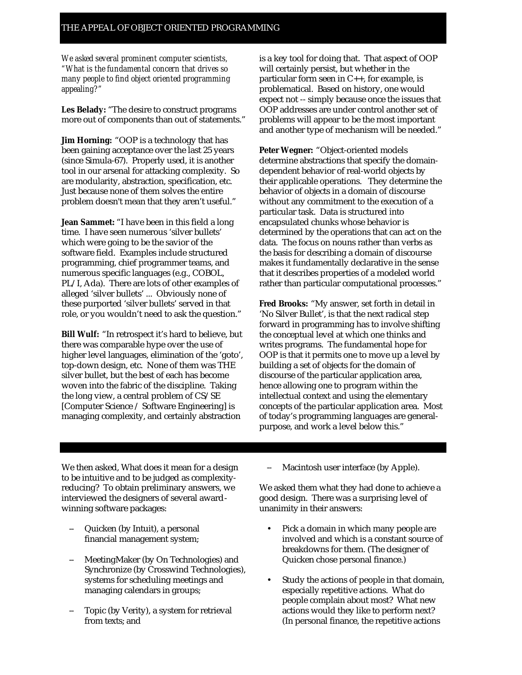*We asked several prominent computer scientists, "What is the fundamental concern that drives so many people to find object oriented programming appealing?"*

**Les Belady:** "The desire to construct programs more out of components than out of statements."

**Jim Horning:** "OOP is a technology that has been gaining acceptance over the last 25 years (since Simula-67). Properly used, it is another tool in our arsenal for attacking complexity. So are modularity, abstraction, specification, etc. Just because none of them solves the entire problem doesn't mean that they aren't useful."

**Jean Sammet:** "I have been in this field a long time. I have seen numerous 'silver bullets' which were going to be the savior of the software field. Examples include structured programming, chief programmer teams, and numerous specific languages (e.g., COBOL, PL/I, Ada). There are lots of other examples of alleged 'silver bullets' ... Obviously none of these purported 'silver bullets' served in that role, or you wouldn't need to ask the question."

**Bill Wulf:** "In retrospect it's hard to believe, but there was comparable hype over the use of higher level languages, elimination of the 'goto', top-down design, etc. None of them was THE silver bullet, but the best of each has become woven into the fabric of the discipline. Taking the long view, a central problem of CS/SE [Computer Science / Software Engineering] is managing complexity, and certainly abstraction

is a key tool for doing that. That aspect of OOP will certainly persist, but whether in the particular form seen in C++, for example, is problematical. Based on history, one would expect not -- simply because once the issues that OOP addresses are under control another set of problems will appear to be the most important and another type of mechanism will be needed."

**Peter Wegner:** "Object-oriented models determine abstractions that specify the domaindependent behavior of real-world objects by their applicable operations. They determine the behavior of objects in a domain of discourse without any commitment to the execution of a particular task. Data is structured into encapsulated chunks whose behavior is determined by the operations that can act on the data. The focus on nouns rather than verbs as the basis for describing a domain of discourse makes it fundamentally declarative in the sense that it describes properties of a modeled world rather than particular computational processes."

**Fred Brooks:** "My answer, set forth in detail in 'No Silver Bullet', is that the next radical step forward in programming has to involve shifting the conceptual level at which one thinks and writes programs. The fundamental hope for OOP is that it permits one to move up a level by building a set of objects for the domain of discourse of the particular application area, hence allowing one to program within the intellectual context and using the elementary concepts of the particular application area. Most of today's programming languages are generalpurpose, and work a level below this."

We then asked, What does it mean for a design to be intuitive and to be judged as complexityreducing? To obtain preliminary answers, we interviewed the designers of several awardwinning software packages:

- Quicken (by Intuit), a personal financial management system;
- -- MeetingMaker (by On Technologies) and Synchronize (by Crosswind Technologies), systems for scheduling meetings and managing calendars in groups;
- Topic (by Verity), a system for retrieval from texts; and

Macintosh user interface (by Apple).

We asked them what they had done to achieve a good design. There was a surprising level of unanimity in their answers:

- Pick a domain in which many people are involved and which is a constant source of breakdowns for them. (The designer of Quicken chose personal finance.)
- Study the actions of people in that domain, especially repetitive actions. What do people complain about most? What new actions would they like to perform next? (In personal finance, the repetitive actions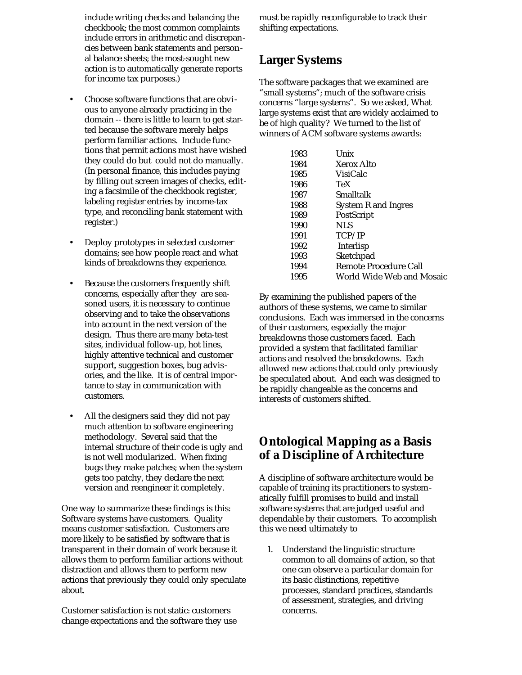include writing checks and balancing the checkbook; the most common complaints include errors in arithmetic and discrepancies between bank statements and personal balance sheets; the most-sought new action is to automatically generate reports for income tax purposes.)

- Choose software functions that are obvious to anyone already practicing in the domain -- there is little to learn to get started because the software merely helps perform familiar actions. Include functions that permit actions most have wished they could do but could not do manually. (In personal finance, this includes paying by filling out screen images of checks, editing a facsimile of the checkbook register, labeling register entries by income-tax type, and reconciling bank statement with register.)
- Deploy prototypes in selected customer domains; see how people react and what kinds of breakdowns they experience.
- Because the customers frequently shift concerns, especially after they are seasoned users, it is necessary to continue observing and to take the observations into account in the next version of the design. Thus there are many beta-test sites, individual follow-up, hot lines, highly attentive technical and customer support, suggestion boxes, bug advisories, and the like. It is of central importance to stay in communication with customers.
- All the designers said they did not pay much attention to software engineering methodology. Several said that the internal structure of their code is ugly and is not well modularized. When fixing bugs they make patches; when the system gets too patchy, they declare the next version and reengineer it completely.

One way to summarize these findings is this: Software systems have customers. Quality means customer satisfaction. Customers are more likely to be satisfied by software that is transparent in their domain of work because it allows them to perform familiar actions without distraction and allows them to perform new actions that previously they could only speculate about.

Customer satisfaction is not static: customers change expectations and the software they use must be rapidly reconfigurable to track their shifting expectations.

# **Larger Systems**

The software packages that we examined are "small systems"; much of the software crisis concerns "large systems". So we asked, What large systems exist that are widely acclaimed to be of high quality? We turned to the list of winners of ACM software systems awards:

| 1983 | Unix                       |
|------|----------------------------|
| 1984 | Xerox Alto                 |
| 1985 | VisiCalc                   |
| 1986 | TeX                        |
| 1987 | Smalltalk                  |
| 1988 | <b>System R and Ingres</b> |
| 1989 | PostScript                 |
| 1990 | NLS                        |
| 1991 | TCP/IP                     |
| 1992 | Interlisp                  |
| 1993 | Sketchpad                  |
| 1994 | Remote Procedure Call      |
| 1995 | World Wide Web and Mosaic  |
|      |                            |

By examining the published papers of the authors of these systems, we came to similar conclusions. Each was immersed in the concerns of their customers, especially the major breakdowns those customers faced. Each provided a system that facilitated familiar actions and resolved the breakdowns. Each allowed new actions that could only previously be speculated about. And each was designed to be rapidly changeable as the concerns and interests of customers shifted.

## **Ontological Mapping as a Basis of a Discipline of Architecture**

A discipline of software architecture would be capable of training its practitioners to systematically fulfill promises to build and install software systems that are judged useful and dependable by their customers. To accomplish this we need ultimately to

1. Understand the linguistic structure common to all domains of action, so that one can observe a particular domain for its basic distinctions, repetitive processes, standard practices, standards of assessment, strategies, and driving concerns.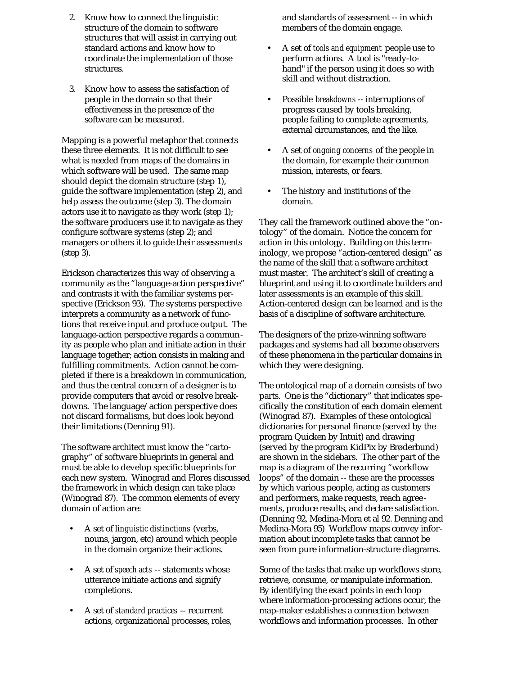- 2. Know how to connect the linguistic structure of the domain to software structures that will assist in carrying out standard actions and know how to coordinate the implementation of those structures.
- 3. Know how to assess the satisfaction of people in the domain so that their effectiveness in the presence of the software can be measured.

Mapping is a powerful metaphor that connects these three elements. It is not difficult to see what is needed from maps of the domains in which software will be used. The same map should depict the domain structure (step 1), guide the software implementation (step 2), and help assess the outcome (step 3). The domain actors use it to navigate as they work (step 1); the software producers use it to navigate as they configure software systems (step 2); and managers or others it to guide their assessments (step 3).

Erickson characterizes this way of observing a community as the "language-action perspective" and contrasts it with the familiar systems perspective (Erickson 93). The systems perspective interprets a community as a network of functions that receive input and produce output. The language-action perspective regards a community as people who plan and initiate action in their language together; action consists in making and fulfilling commitments. Action cannot be completed if there is a breakdown in communication, and thus the central concern of a designer is to provide computers that avoid or resolve breakdowns. The language/action perspective does not discard formalisms, but does look beyond their limitations (Denning 91).

The software architect must know the "cartography" of software blueprints in general and must be able to develop specific blueprints for each new system. Winograd and Flores discussed the framework in which design can take place (Winograd 87). The common elements of every domain of action are:

- A set of *linguistic distinctions* (verbs, nouns, jargon, etc) around which people in the domain organize their actions.
- A set of *speech acts* -- statements whose utterance initiate actions and signify completions.
- A set of *standard practices* -- recurrent actions, organizational processes, roles,

and standards of assessment -- in which members of the domain engage.

- A set of *tools and equipment* people use to perform actions. A tool is "ready-tohand" if the person using it does so with skill and without distraction.
- Possible *breakdowns* -- interruptions of progress caused by tools breaking, people failing to complete agreements, external circumstances, and the like.
- A set of *ongoing concerns* of the people in the domain, for example their common mission, interests, or fears.
- The history and institutions of the domain.

They call the framework outlined above the "ontology" of the domain. Notice the concern for action in this ontology. Building on this terminology, we propose "action-centered design" as the name of the skill that a software architect must master. The architect's skill of creating a blueprint and using it to coordinate builders and later assessments is an example of this skill. Action-centered design can be learned and is the basis of a discipline of software architecture.

The designers of the prize-winning software packages and systems had all become observers of these phenomena in the particular domains in which they were designing.

The ontological map of a domain consists of two parts. One is the "dictionary" that indicates specifically the constitution of each domain element (Winograd 87). Examples of these ontological dictionaries for personal finance (served by the program Quicken by Intuit) and drawing (served by the program KidPix by Brøderbund) are shown in the sidebars. The other part of the map is a diagram of the recurring "workflow loops" of the domain -- these are the processes by which various people, acting as customers and performers, make requests, reach agreements, produce results, and declare satisfaction. (Denning 92, Medina-Mora et al 92. Denning and Medina-Mora 95) Workflow maps convey information about incomplete tasks that cannot be seen from pure information-structure diagrams.

Some of the tasks that make up workflows store, retrieve, consume, or manipulate information. By identifying the exact points in each loop where information-processing actions occur, the map-maker establishes a connection between workflows and information processes. In other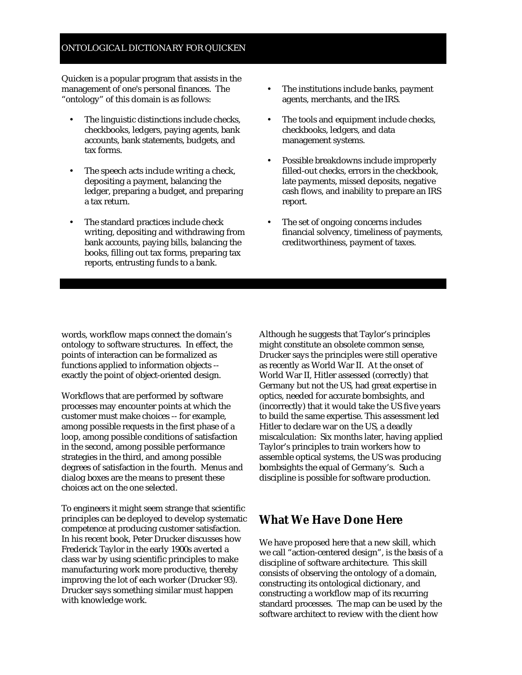#### ONTOLOGICAL DICTIONARY FOR QUICKEN

Quicken is a popular program that assists in the management of one's personal finances. The "ontology" of this domain is as follows:

- The linguistic distinctions include checks, checkbooks, ledgers, paying agents, bank accounts, bank statements, budgets, and tax forms.
- The speech acts include writing a check, depositing a payment, balancing the ledger, preparing a budget, and preparing a tax return.
- The standard practices include check writing, depositing and withdrawing from bank accounts, paying bills, balancing the books, filling out tax forms, preparing tax reports, entrusting funds to a bank.
- The institutions include banks, payment agents, merchants, and the IRS.
- The tools and equipment include checks, checkbooks, ledgers, and data management systems.
- Possible breakdowns include improperly filled-out checks, errors in the checkbook, late payments, missed deposits, negative cash flows, and inability to prepare an IRS report.
- The set of ongoing concerns includes financial solvency, timeliness of payments, creditworthiness, payment of taxes.

words, workflow maps connect the domain's ontology to software structures. In effect, the points of interaction can be formalized as functions applied to information objects - exactly the point of object-oriented design.

Workflows that are performed by software processes may encounter points at which the customer must make choices -- for example, among possible requests in the first phase of a loop, among possible conditions of satisfaction in the second, among possible performance strategies in the third, and among possible degrees of satisfaction in the fourth. Menus and dialog boxes are the means to present these choices act on the one selected.

To engineers it might seem strange that scientific principles can be deployed to develop systematic competence at producing customer satisfaction. In his recent book, Peter Drucker discusses how Frederick Taylor in the early 1900s averted a class war by using scientific principles to make manufacturing work more productive, thereby improving the lot of each worker (Drucker 93). Drucker says something similar must happen with knowledge work.

Although he suggests that Taylor's principles might constitute an obsolete common sense, Drucker says the principles were still operative as recently as World War II. At the onset of World War II, Hitler assessed (correctly) that Germany but not the US, had great expertise in optics, needed for accurate bombsights, and (incorrectly) that it would take the US five years to build the same expertise. This assessment led Hitler to declare war on the US, a deadly miscalculation: Six months later, having applied Taylor's principles to train workers how to assemble optical systems, the US was producing bombsights the equal of Germany's. Such a discipline is possible for software production.

## **What We Have Done Here**

We have proposed here that a new skill, which we call "action-centered design", is the basis of a discipline of software architecture. This skill consists of observing the ontology of a domain, constructing its ontological dictionary, and constructing a workflow map of its recurring standard processes. The map can be used by the software architect to review with the client how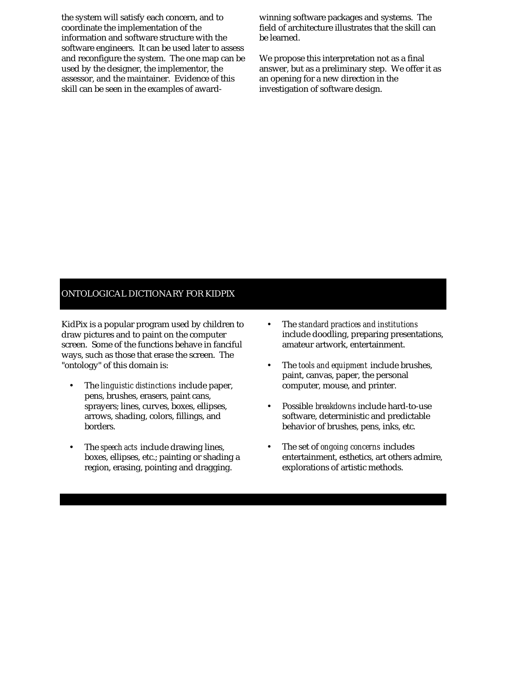the system will satisfy each concern, and to coordinate the implementation of the information and software structure with the software engineers. It can be used later to assess and reconfigure the system. The one map can be used by the designer, the implementor, the assessor, and the maintainer. Evidence of this skill can be seen in the examples of awardwinning software packages and systems. The field of architecture illustrates that the skill can be learned.

We propose this interpretation not as a final answer, but as a preliminary step. We offer it as an opening for a new direction in the investigation of software design.

#### ONTOLOGICAL DICTIONARY FOR KIDPIX

KidPix is a popular program used by children to draw pictures and to paint on the computer screen. Some of the functions behave in fanciful ways, such as those that erase the screen. The "ontology" of this domain is:

- The *linguistic distinctions* include paper, pens, brushes, erasers, paint cans, sprayers; lines, curves, boxes, ellipses, arrows, shading, colors, fillings, and borders.
- The *speech acts* include drawing lines, boxes, ellipses, etc.; painting or shading a region, erasing, pointing and dragging.
- The *standard practices and institutions* include doodling, preparing presentations, amateur artwork, entertainment.
- The *tools and equipment* include brushes, paint, canvas, paper, the personal computer, mouse, and printer.
- Possible *breakdowns* include hard-to-use software, deterministic and predictable behavior of brushes, pens, inks, etc.
- The set of *ongoing concerns* includes entertainment, esthetics, art others admire, explorations of artistic methods.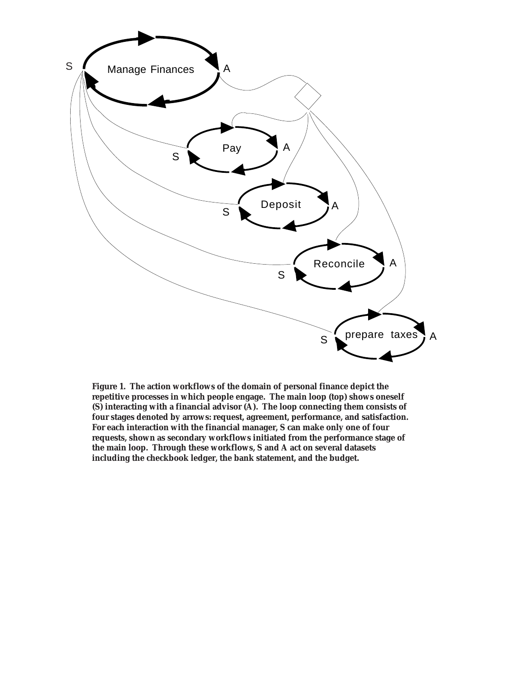

**Figure 1. The action workflows of the domain of personal finance depict the repetitive processes in which people engage. The main loop (top) shows oneself (S) interacting with a financial advisor (A). The loop connecting them consists of four stages denoted by arrows: request, agreement, performance, and satisfaction. For each interaction with the financial manager, S can make only one of four requests, shown as secondary workflows initiated from the performance stage of the main loop. Through these workflows, S and A act on several datasets including the checkbook ledger, the bank statement, and the budget.**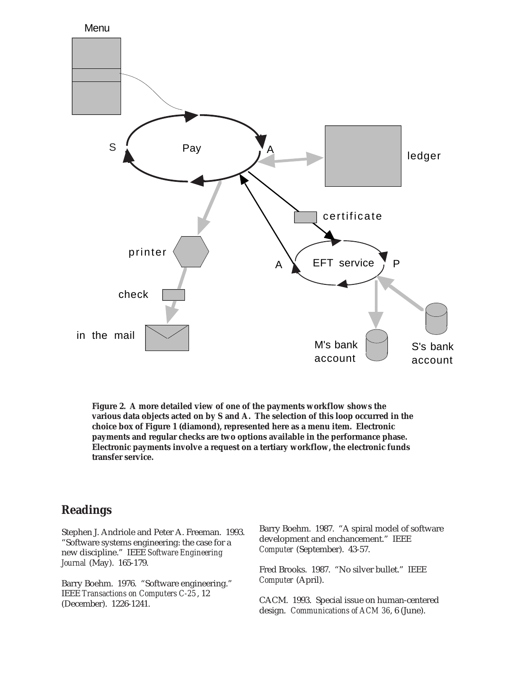

**Figure 2. A more detailed view of one of the payments workflow shows the various data objects acted on by S and A. The selection of this loop occurred in the choice box of Figure 1 (diamond), represented here as a menu item. Electronic payments and regular checks are two options available in the performance phase. Electronic payments involve a request on a tertiary workflow, the electronic funds transfer service.**

## **Readings**

Stephen J. Andriole and Peter A. Freeman. 1993. "Software systems engineering: the case for a new discipline." IEEE *Software Engineering Journal* (May). 165-179.

Barry Boehm. 1976. "Software engineering." IEEE *Transactions on Computers C-25*, 12 (December). 1226-1241.

Barry Boehm. 1987. "A spiral model of software development and enchancement." IEEE *Computer* (September). 43-57.

Fred Brooks. 1987. "No silver bullet." IEEE *Computer* (April).

CACM. 1993. Special issue on human-centered design. *Communications of ACM 36*, 6 (June).